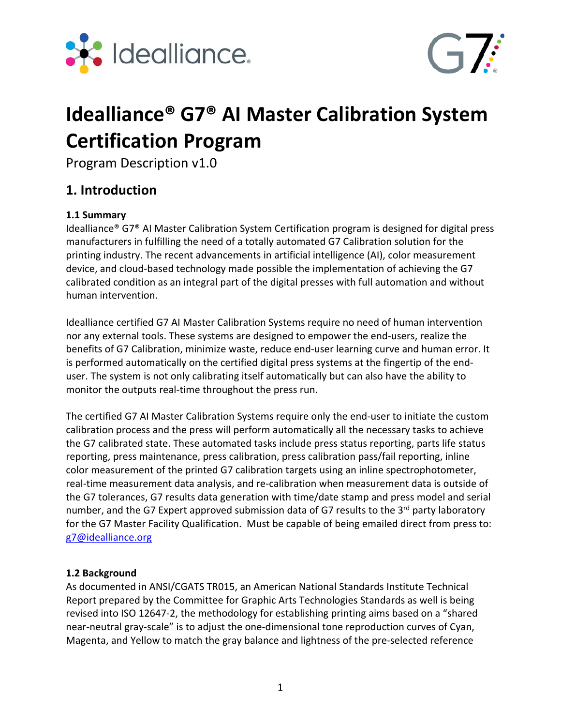



# **Idealliance® G7® AI Master Calibration System Certification Program**

Program Description v1.0

## **1. Introduction**

#### **1.1 Summary**

Idealliance® G7® AI Master Calibration System Certification program is designed for digital press manufacturers in fulfilling the need of a totally automated G7 Calibration solution for the printing industry. The recent advancements in artificial intelligence (AI), color measurement device, and cloud‐based technology made possible the implementation of achieving the G7 calibrated condition as an integral part of the digital presses with full automation and without human intervention.

Idealliance certified G7 AI Master Calibration Systems require no need of human intervention nor any external tools. These systems are designed to empower the end‐users, realize the benefits of G7 Calibration, minimize waste, reduce end‐user learning curve and human error. It is performed automatically on the certified digital press systems at the fingertip of the end‐ user. The system is not only calibrating itself automatically but can also have the ability to monitor the outputs real-time throughout the press run.

The certified G7 AI Master Calibration Systems require only the end‐user to initiate the custom calibration process and the press will perform automatically all the necessary tasks to achieve the G7 calibrated state. These automated tasks include press status reporting, parts life status reporting, press maintenance, press calibration, press calibration pass/fail reporting, inline color measurement of the printed G7 calibration targets using an inline spectrophotometer, real-time measurement data analysis, and re-calibration when measurement data is outside of the G7 tolerances, G7 results data generation with time/date stamp and press model and serial number, and the G7 Expert approved submission data of G7 results to the 3<sup>rd</sup> party laboratory for the G7 Master Facility Qualification. Must be capable of being emailed direct from press to: g7@idealliance.org

#### **1.2 Background**

As documented in ANSI/CGATS TR015, an American National Standards Institute Technical Report prepared by the Committee for Graphic Arts Technologies Standards as well is being revised into ISO 12647‐2, the methodology for establishing printing aims based on a "shared near‐neutral gray‐scale" is to adjust the one‐dimensional tone reproduction curves of Cyan, Magenta, and Yellow to match the gray balance and lightness of the pre‐selected reference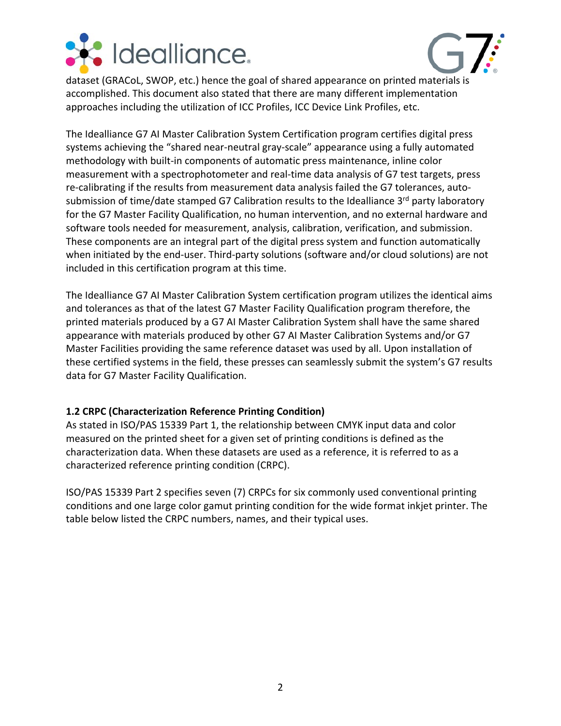



dataset (GRACoL, SWOP, etc.) hence the goal of shared appearance on printed materials is accomplished. This document also stated that there are many different implementation approaches including the utilization of ICC Profiles, ICC Device Link Profiles, etc.

The Idealliance G7 AI Master Calibration System Certification program certifies digital press systems achieving the "shared near-neutral gray-scale" appearance using a fully automated methodology with built-in components of automatic press maintenance, inline color measurement with a spectrophotometer and real‐time data analysis of G7 test targets, press re-calibrating if the results from measurement data analysis failed the G7 tolerances, autosubmission of time/date stamped G7 Calibration results to the Idealliance 3rd party laboratory for the G7 Master Facility Qualification, no human intervention, and no external hardware and software tools needed for measurement, analysis, calibration, verification, and submission. These components are an integral part of the digital press system and function automatically when initiated by the end-user. Third-party solutions (software and/or cloud solutions) are not included in this certification program at this time.

The Idealliance G7 AI Master Calibration System certification program utilizes the identical aims and tolerances as that of the latest G7 Master Facility Qualification program therefore, the printed materials produced by a G7 AI Master Calibration System shall have the same shared appearance with materials produced by other G7 AI Master Calibration Systems and/or G7 Master Facilities providing the same reference dataset was used by all. Upon installation of these certified systems in the field, these presses can seamlessly submit the system's G7 results data for G7 Master Facility Qualification.

#### **1.2 CRPC (Characterization Reference Printing Condition)**

As stated in ISO/PAS 15339 Part 1, the relationship between CMYK input data and color measured on the printed sheet for a given set of printing conditions is defined as the characterization data. When these datasets are used as a reference, it is referred to as a characterized reference printing condition (CRPC).

ISO/PAS 15339 Part 2 specifies seven (7) CRPCs for six commonly used conventional printing conditions and one large color gamut printing condition for the wide format inkjet printer. The table below listed the CRPC numbers, names, and their typical uses.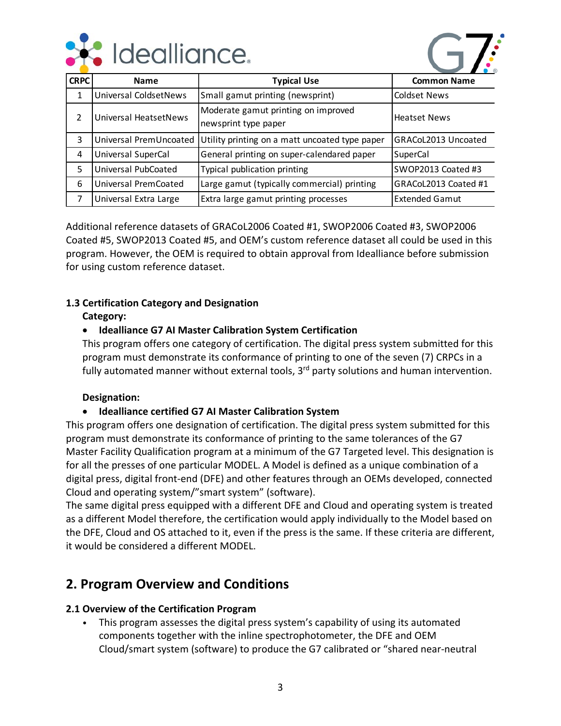



| <b>CRPC</b> | <b>Name</b>                  | <b>Typical Use</b>                                          | <b>Common Name</b>    |
|-------------|------------------------------|-------------------------------------------------------------|-----------------------|
| 1           | Universal ColdsetNews        | Small gamut printing (newsprint)                            | <b>Coldset News</b>   |
| 2           | <b>Universal HeatsetNews</b> | Moderate gamut printing on improved<br>newsprint type paper | <b>Heatset News</b>   |
| 3           | Universal PremUncoated       | Utility printing on a matt uncoated type paper              | GRACoL2013 Uncoated   |
| 4           | Universal SuperCal           | General printing on super-calendared paper                  | SuperCal              |
| 5           | Universal PubCoated          | Typical publication printing                                | SWOP2013 Coated #3    |
| 6           | Universal PremCoated         | Large gamut (typically commercial) printing                 | GRACoL2013 Coated #1  |
| 7           | Universal Extra Large        | Extra large gamut printing processes                        | <b>Extended Gamut</b> |

Additional reference datasets of GRACoL2006 Coated #1, SWOP2006 Coated #3, SWOP2006 Coated #5, SWOP2013 Coated #5, and OEM's custom reference dataset all could be used in this program. However, the OEM is required to obtain approval from Idealliance before submission for using custom reference dataset.

#### **1.3 Certification Category and Designation**

**Category:** 

#### **Idealliance G7 AI Master Calibration System Certification**

This program offers one category of certification. The digital press system submitted for this program must demonstrate its conformance of printing to one of the seven (7) CRPCs in a fully automated manner without external tools, 3<sup>rd</sup> party solutions and human intervention.

#### **Designation:**

#### **Idealliance certified G7 AI Master Calibration System**

This program offers one designation of certification. The digital press system submitted for this program must demonstrate its conformance of printing to the same tolerances of the G7 Master Facility Qualification program at a minimum of the G7 Targeted level. This designation is for all the presses of one particular MODEL. A Model is defined as a unique combination of a digital press, digital front‐end (DFE) and other features through an OEMs developed, connected Cloud and operating system/"smart system" (software).

The same digital press equipped with a different DFE and Cloud and operating system is treated as a different Model therefore, the certification would apply individually to the Model based on the DFE, Cloud and OS attached to it, even if the press is the same. If these criteria are different, it would be considered a different MODEL.

## **2. Program Overview and Conditions**

#### **2.1 Overview of the Certification Program**

• This program assesses the digital press system's capability of using its automated components together with the inline spectrophotometer, the DFE and OEM Cloud/smart system (software) to produce the G7 calibrated or "shared near‐neutral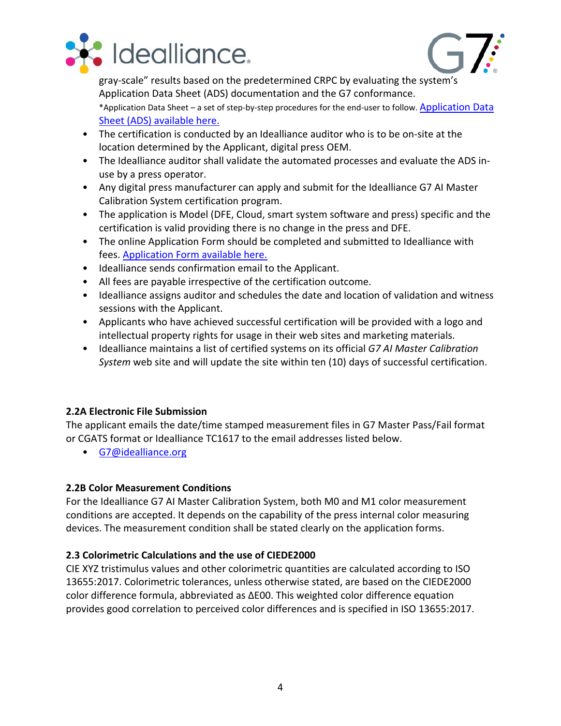



gray‐scale" results based on the predetermined CRPC by evaluating the system's Application Data Sheet (ADS) documentation and the G7 conformance.

\*Application Data Sheet – a set of step‐by‐step procedures for the end‐user to follow. Application Data Sheet (ADS) available here.

- The certification is conducted by an Idealliance auditor who is to be on‐site at the location determined by the Applicant, digital press OEM.
- The Idealliance auditor shall validate the automated processes and evaluate the ADS in‐ use by a press operator.
- Any digital press manufacturer can apply and submit for the Idealliance G7 AI Master Calibration System certification program.
- The application is Model (DFE, Cloud, smart system software and press) specific and the certification is valid providing there is no change in the press and DFE.
- The online Application Form should be completed and submitted to Idealliance with fees. Application Form available here.
- Idealliance sends confirmation email to the Applicant.
- All fees are payable irrespective of the certification outcome.
- Idealliance assigns auditor and schedules the date and location of validation and witness sessions with the Applicant.
- Applicants who have achieved successful certification will be provided with a logo and intellectual property rights for usage in their web sites and marketing materials.
- Idealliance maintains a list of certified systems on its official *G7 AI Master Calibration System* web site and will update the site within ten (10) days of successful certification.

#### **2.2A Electronic File Submission**

The applicant emails the date/time stamped measurement files in G7 Master Pass/Fail format or CGATS format or Idealliance TC1617 to the email addresses listed below.

• G7@idealliance.org

#### **2.2B Color Measurement Conditions**

For the Idealliance G7 AI Master Calibration System, both M0 and M1 color measurement conditions are accepted. It depends on the capability of the press internal color measuring devices. The measurement condition shall be stated clearly on the application forms.

#### **2.3 Colorimetric Calculations and the use of CIEDE2000**

CIE XYZ tristimulus values and other colorimetric quantities are calculated according to ISO 13655:2017. Colorimetric tolerances, unless otherwise stated, are based on the CIEDE2000 color difference formula, abbreviated as ΔE00. This weighted color difference equation provides good correlation to perceived color differences and is specified in ISO 13655:2017.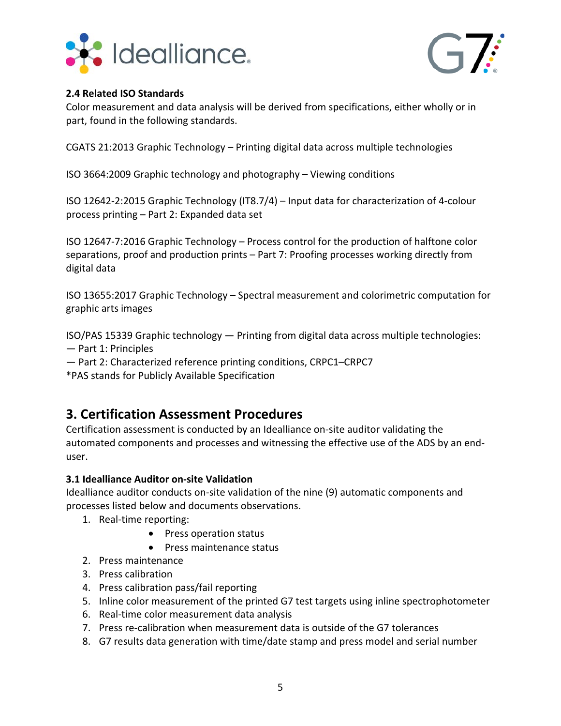



#### **2.4 Related ISO Standards**

Color measurement and data analysis will be derived from specifications, either wholly or in part, found in the following standards.

CGATS 21:2013 Graphic Technology – Printing digital data across multiple technologies

ISO 3664:2009 Graphic technology and photography – Viewing conditions

ISO 12642‐2:2015 Graphic Technology (IT8.7/4) – Input data for characterization of 4‐colour process printing – Part 2: Expanded data set

ISO 12647‐7:2016 Graphic Technology – Process control for the production of halftone color separations, proof and production prints – Part 7: Proofing processes working directly from digital data

ISO 13655:2017 Graphic Technology – Spectral measurement and colorimetric computation for graphic arts images

ISO/PAS 15339 Graphic technology — Printing from digital data across multiple technologies:

- Part 1: Principles
- Part 2: Characterized reference printing conditions, CRPC1–CRPC7

\*PAS stands for Publicly Available Specification

## **3. Certification Assessment Procedures**

Certification assessment is conducted by an Idealliance on‐site auditor validating the automated components and processes and witnessing the effective use of the ADS by an end‐ user.

#### **3.1 Idealliance Auditor on‐site Validation**

Idealliance auditor conducts on‐site validation of the nine (9) automatic components and processes listed below and documents observations.

- 1. Real‐time reporting:
	- Press operation status
	- Press maintenance status
- 2. Press maintenance
- 3. Press calibration
- 4. Press calibration pass/fail reporting
- 5. Inline color measurement of the printed G7 test targets using inline spectrophotometer
- 6. Real‐time color measurement data analysis
- 7. Press re‐calibration when measurement data is outside of the G7 tolerances
- 8. G7 results data generation with time/date stamp and press model and serial number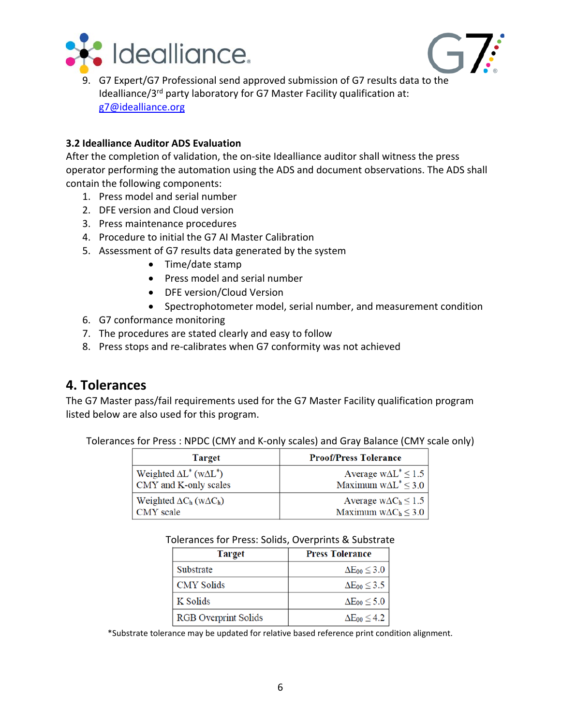



9. G7 Expert/G7 Professional send approved submission of G7 results data to the Idealliance/3<sup>rd</sup> party laboratory for G7 Master Facility qualification at: g7@idealliance.org

#### **3.2 Idealliance Auditor ADS Evaluation**

After the completion of validation, the on‐site Idealliance auditor shall witness the press operator performing the automation using the ADS and document observations. The ADS shall contain the following components:

- 1. Press model and serial number
- 2. DFE version and Cloud version
- 3. Press maintenance procedures
- 4. Procedure to initial the G7 AI Master Calibration
- 5. Assessment of G7 results data generated by the system
	- Time/date stamp
	- Press model and serial number
	- DFE version/Cloud Version
	- Spectrophotometer model, serial number, and measurement condition
- 6. G7 conformance monitoring
- 7. The procedures are stated clearly and easy to follow
- 8. Press stops and re‐calibrates when G7 conformity was not achieved

### **4. Tolerances**

The G7 Master pass/fail requirements used for the G7 Master Facility qualification program listed below are also used for this program.

Tolerances for Press : NPDC (CMY and K‐only scales) and Gray Balance (CMY scale only)

| <b>Target</b>                           | <b>Proof/Press Tolerance</b>   |
|-----------------------------------------|--------------------------------|
| Weighted $\Delta L^*$ (w $\Delta L^*$ ) | Average $w\Delta L^* \leq 1.5$ |
| CMY and K-only scales                   | Maximum $w\Delta L^* \leq 3.0$ |
| Weighted $\Delta C_h$ (w $\Delta C_h$ ) | Average $w\Delta C_h \leq 1.5$ |
| CMY scale                               | Maximum $w\Delta C_h \leq 3.0$ |

| Tolerances for Press: Solids, Overprints & Substrate |  |
|------------------------------------------------------|--|
|------------------------------------------------------|--|

| <b>Target</b>               | <b>Press Tolerance</b>   |
|-----------------------------|--------------------------|
| Substrate                   | $\Delta E_{00} \leq 3.0$ |
| <b>CMY Solids</b>           | $\Delta E_{00} \leq 3.5$ |
| K Solids                    | $\Delta E_{00} \leq 5.0$ |
| <b>RGB</b> Overprint Solids | $\Delta E_{00} \leq 4.2$ |

\*Substrate tolerance may be updated for relative based reference print condition alignment.